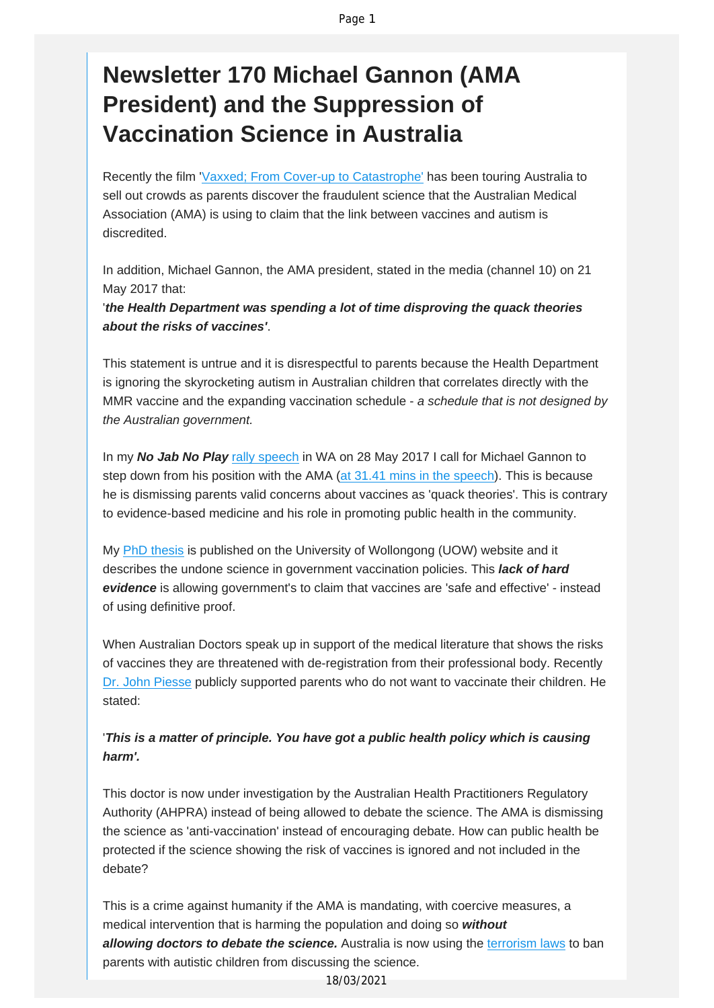## **Newsletter 170 Michael Gannon (AMA President) and the Suppression of Vaccination Science in Australia**

Recently the film 'Vaxxed; From Cover-up to [Catastrophe'](http://vaccinationdecisions.us8.list-manage.com/track/click?u=f20605fde3732e41929f4a3f2&id=a82c84d03f&e=fec8337d3c) has been touring Australia to sell out crowds as parents discover the fraudulent science that the Australian Medical Association (AMA) is using to claim that the link between vaccines and autism is discredited.

In addition, Michael Gannon, the AMA president, stated in the media (channel 10) on 21 May 2017 that:

'*the Health Department was spending a lot of time disproving the quack theories about the risks of vaccines'*.

This statement is untrue and it is disrespectful to parents because the Health Department is ignoring the skyrocketing autism in Australian children that correlates directly with the MMR vaccine and the expanding vaccination schedule - *a schedule that is not designed by the Australian government.*

In my *No Jab No Play* rally [speech](http://vaccinationdecisions.us8.list-manage1.com/track/click?u=f20605fde3732e41929f4a3f2&id=23ee854af0&e=fec8337d3c) in WA on 28 May 2017 I call for Michael Gannon to step down from his position with the AMA (at 31.41 mins in the [speech\)](http://vaccinationdecisions.us8.list-manage.com/track/click?u=f20605fde3732e41929f4a3f2&id=ee355a2a9b&e=fec8337d3c). This is because he is dismissing parents valid concerns about vaccines as 'quack theories'. This is contrary to evidence-based medicine and his role in promoting public health in the community.

My PhD [thesis](http://vaccinationdecisions.us8.list-manage.com/track/click?u=f20605fde3732e41929f4a3f2&id=c906b7340f&e=fec8337d3c) is published on the University of Wollongong (UOW) website and it describes the undone science in government vaccination policies. This *lack of hard evidence* is allowing government's to claim that vaccines are 'safe and effective' - instead of using definitive proof.

When Australian Doctors speak up in support of the medical literature that shows the risks of vaccines they are threatened with de-registration from their professional body. Recently Dr. John [Piesse](http://vaccinationdecisions.us8.list-manage.com/track/click?u=f20605fde3732e41929f4a3f2&id=711c34b7c0&e=fec8337d3c) publicly supported parents who do not want to vaccinate their children. He stated:

## '*This is a matter of principle. You have got a public health policy which is causing harm'.*

This doctor is now under investigation by the Australian Health Practitioners Regulatory Authority (AHPRA) instead of being allowed to debate the science. The AMA is dismissing the science as 'anti-vaccination' instead of encouraging debate. How can public health be protected if the science showing the risk of vaccines is ignored and not included in the debate?

This is a crime against humanity if the AMA is mandating, with coercive measures, a medical intervention that is harming the population and doing so *without allowing doctors to debate the science.* Australia is now using the [terrorism](http://vaccinationdecisions.us8.list-manage.com/track/click?u=f20605fde3732e41929f4a3f2&id=8311a042d2&e=fec8337d3c) laws to ban parents with autistic children from discussing the science.

18/03/2021